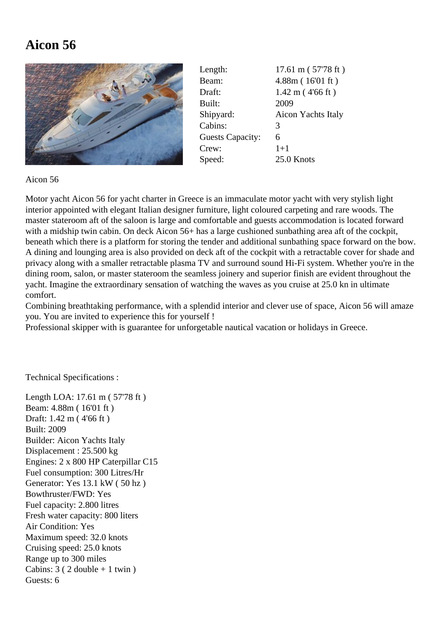## **Aicon 56**



| Length:                 | 17.61 m (57'78 ft)         |
|-------------------------|----------------------------|
| Beam:                   | 4.88m (16'01 ft)           |
| Draft:                  | $1.42 \text{ m}$ (4'66 ft) |
| Built:                  | 2009                       |
| Shipyard:               | Aicon Yachts Italy         |
| Cabins:                 | 3                          |
| <b>Guests Capacity:</b> | 6                          |
| Crew:                   | $1 + 1$                    |
| Speed:                  | 25.0 Knots                 |

Aicon 56

Motor yacht Aicon 56 for yacht charter in Greece is an immaculate motor yacht with very stylish light interior appointed with elegant Italian designer furniture, light coloured carpeting and rare woods. The master stateroom aft of the saloon is large and comfortable and guests accommodation is located forward with a midship twin cabin. On deck Aicon 56+ has a large cushioned sunbathing area aft of the cockpit, beneath which there is a platform for storing the tender and additional sunbathing space forward on the bow. A dining and lounging area is also provided on deck aft of the cockpit with a retractable cover for shade and privacy along with a smaller retractable plasma TV and surround sound Hi-Fi system. Whether you're in the dining room, salon, or master stateroom the seamless joinery and superior finish are evident throughout the yacht. Imagine the extraordinary sensation of watching the waves as you cruise at 25.0 kn in ultimate comfort.

Combining breathtaking performance, with a splendid interior and clever use of space, Aicon 56 will amaze you. You are invited to experience this for yourself !

Professional skipper with is guarantee for unforgetable nautical vacation or holidays in Greece.

Technical Specifications :

Length LOA: 17.61 m ( 57'78 ft ) Beam: 4.88m ( 16'01 ft ) Draft: 1.42 m ( 4'66 ft ) Built: 2009 Builder: Aicon Yachts Italy Displacement : 25.500 kg Engines: 2 x 800 HP Caterpillar C15 Fuel consumption: 300 Litres/Hr Generator: Yes 13.1 kW ( 50 hz ) Bowthruster/FWD: Yes Fuel capacity: 2.800 litres Fresh water capacity: 800 liters Air Condition: Yes Maximum speed: 32.0 knots Cruising speed: 25.0 knots Range up to 300 miles Cabins:  $3(2 \text{ double } + 1 \text{ twin})$ Guests: 6